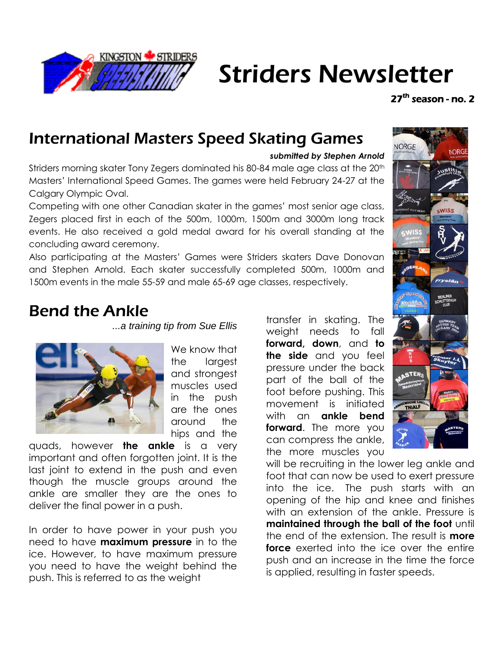

# Striders Newsletter

27<sup>th</sup> season - no. 2

# International Masters Speed Skating Games

#### *submitted by Stephen Arnold*

Striders morning skater Tony Zegers dominated his 80-84 male age class at the 20<sup>th</sup> Masters' International Speed Games. The games were held February 24-27 at the Calgary Olympic Oval.

Competing with one other Canadian skater in the games' most senior age class, Zegers placed first in each of the 500m, 1000m, 1500m and 3000m long track events. He also received a gold medal award for his overall standing at the concluding award ceremony.

Also participating at the Masters' Games were Striders skaters Dave Donovan and Stephen Arnold. Each skater successfully completed 500m, 1000m and 1500m events in the male 55-59 and male 65-69 age classes, respectively.

### Bend the Ankle

*...a training tip from Sue Ellis*



We know that the largest and strongest muscles used in the push are the ones around the hips and the

quads, however **the ankle** is a very important and often forgotten joint. It is the last joint to extend in the push and even though the muscle groups around the ankle are smaller they are the ones to deliver the final power in a push.

In order to have power in your push you need to have **maximum pressure** in to the ice. However, to have maximum pressure you need to have the weight behind the push. This is referred to as the weight

transfer in skating. The weight needs to fall **forward, down**, and **to the side** and you feel pressure under the back part of the ball of the foot before pushing. This movement is initiated with an **ankle bend forward**. The more you can compress the ankle, the more muscles you



will be recruiting in the lower leg ankle and foot that can now be used to exert pressure into the ice. The push starts with an opening of the hip and knee and finishes with an extension of the ankle. Pressure is **maintained through the ball of the foot** until the end of the extension. The result is **more force** exerted into the ice over the entire push and an increase in the time the force is applied, resulting in faster speeds.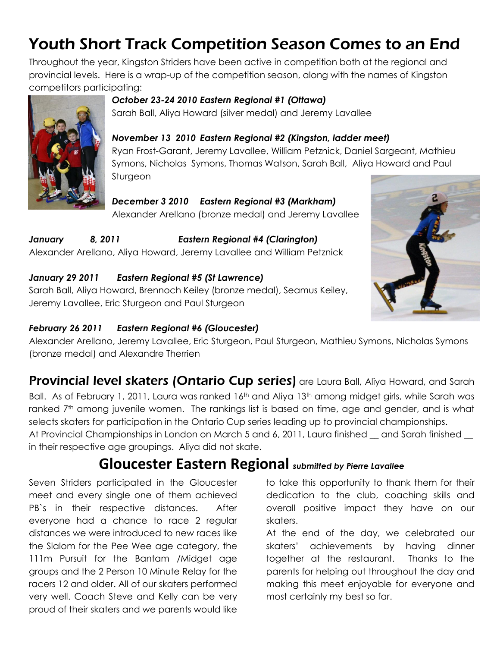# Youth Short Track Competition Season Comes to an End

Throughout the year, Kingston Striders have been active in competition both at the regional and provincial levels. Here is a wrap-up of the competition season, along with the names of Kingston competitors participating:



### *October 23-24 2010 Eastern Regional #1 (Ottawa)*

Sarah Ball, Aliya Howard (silver medal) and Jeremy Lavallee

### *November 13 2010 Eastern Regional #2 (Kingston, ladder meet)*

Ryan Frost-Garant, Jeremy Lavallee, William Petznick, Daniel Sargeant, Mathieu Symons, Nicholas Symons, Thomas Watson, Sarah Ball, Aliya Howard and Paul Sturgeon

#### *December 3 2010 Eastern Regional #3 (Markham)* Alexander Arellano (bronze medal) and Jeremy Lavallee

*January 8, 2011 Eastern Regional #4 (Clarington)* Alexander Arellano, Aliya Howard, Jeremy Lavallee and William Petznick

### *January 29 2011 Eastern Regional #5 (St Lawrence)*

Sarah Ball, Aliya Howard, Brennoch Keiley (bronze medal), Seamus Keiley, Jeremy Lavallee, Eric Sturgeon and Paul Sturgeon



#### *February 26 2011 Eastern Regional #6 (Gloucester)*

Alexander Arellano, Jeremy Lavallee, Eric Sturgeon, Paul Sturgeon, Mathieu Symons, Nicholas Symons (bronze medal) and Alexandre Therrien

Provincial level skaters (Ontario Cup series) are Laura Ball, Aliya Howard, and Sarah Ball. As of February 1, 2011, Laura was ranked 16<sup>th</sup> and Aliya 13<sup>th</sup> among midget girls, while Sarah was ranked 7<sup>th</sup> among juvenile women. The rankings list is based on time, age and gender, and is what selects skaters for participation in the Ontario Cup series leading up to provincial championships. At Provincial Championships in London on March 5 and 6, 2011, Laura finished  $\_\_$  and Sarah finished  $\_\_$ 

in their respective age groupings. Aliya did not skate.

### **Gloucester Eastern Regional** *submitted by Pierre Lavallee*

Seven Striders participated in the Gloucester meet and every single one of them achieved PB's in their respective distances. After everyone had a chance to race 2 regular distances we were introduced to new races like the Slalom for the Pee Wee age category, the 111m Pursuit for the Bantam /Midget age groups and the 2 Person 10 Minute Relay for the racers 12 and older. All of our skaters performed very well. Coach Steve and Kelly can be very proud of their skaters and we parents would like

to take this opportunity to thank them for their dedication to the club, coaching skills and overall positive impact they have on our skaters.

At the end of the day, we celebrated our skaters' achievements by having dinner together at the restaurant. Thanks to the parents for helping out throughout the day and making this meet enjoyable for everyone and most certainly my best so far.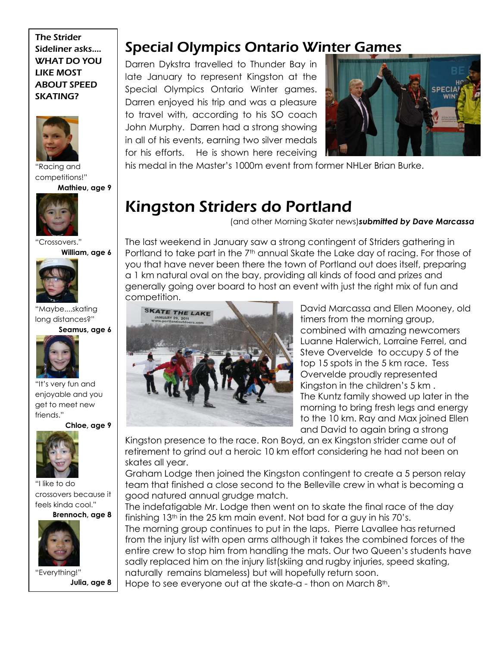#### The Strider Sideliner asks.... WHAT DO YOU LIKE MOST ABOUT SPEED SKATING?



"Racing and competitions!"

**Mathieu, age 9**



"Crossovers." **William, age 6**



"Maybe....skating long distances?" **Seamus, age 6**



"It's very fun and enjoyable and you get to meet new friends."

**Chloe, age 9**



"I like to do crossovers because it feels kinda cool."

#### **Brennoch, age 8**



"Everything!" **Julia, age 8**

### Special Olympics Ontario Winter Games

Darren Dykstra travelled to Thunder Bay in late January to represent Kingston at the Special Olympics Ontario Winter games. Darren enjoyed his trip and was a pleasure to travel with, according to his SO coach John Murphy. Darren had a strong showing in all of his events, earning two silver medals for his efforts. He is shown here receiving



his medal in the Master's 1000m event from former NHLer Brian Burke.

# Kingston Striders do Portland

(and other Morning Skater news)*submitted by Dave Marcassa*

The last weekend in January saw a strong contingent of Striders gathering in Portland to take part in the  $7<sup>th</sup>$  annual Skate the Lake day of racing. For those of you that have never been there the town of Portland out does itself, preparing a 1 km natural oval on the bay, providing all kinds of food and prizes and generally going over board to host an event with just the right mix of fun and competition.



David Marcassa and Ellen Mooney, old timers from the morning group, combined with amazing newcomers Luanne Halerwich, Lorraine Ferrel, and Steve Overvelde to occupy 5 of the top 15 spots in the 5 km race. Tess Overvelde proudly represented Kingston in the children's 5 km . The Kuntz family showed up later in the morning to bring fresh legs and energy to the 10 km. Ray and Max joined Ellen and David to again bring a strong

Kingston presence to the race. Ron Boyd, an ex Kingston strider came out of retirement to grind out a heroic 10 km effort considering he had not been on skates all year.

Graham Lodge then joined the Kingston contingent to create a 5 person relay team that finished a close second to the Belleville crew in what is becoming a good natured annual grudge match.

The indefatigable Mr. Lodge then went on to skate the final race of the day finishing  $13<sup>th</sup>$  in the 25 km main event. Not bad for a guy in his 70's.

The morning group continues to put in the laps. Pierre Lavallee has returned from the injury list with open arms although it takes the combined forces of the entire crew to stop him from handling the mats. Our two Queen's students have sadly replaced him on the injury list(skiing and rugby injuries, speed skating, naturally remains blameless) but will hopefully return soon.

Hope to see everyone out at the skate-a - thon on March 8<sup>th</sup>.